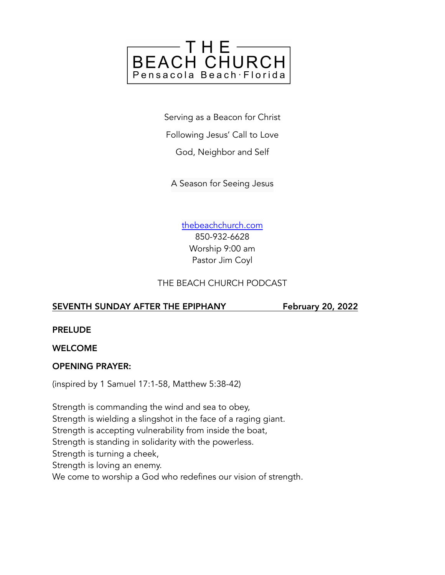

Serving as a Beacon for Christ

Following Jesus' Call to Love

God, Neighbor and Self

A Season for Seeing Jesus

[thebeachchurch.com](http://thebeachchurch.com) 850-932-6628 Worship 9:00 am Pastor Jim Coyl

#### THE BEACH CHURCH PODCAST

#### SEVENTH SUNDAY AFTER THE EPIPHANY February 20, 2022

PRELUDE

#### WELCOME

#### OPENING PRAYER:

(inspired by 1 Samuel 17:1-58, Matthew 5:38-42)

Strength is commanding the wind and sea to obey, Strength is wielding a slingshot in the face of a raging giant. Strength is accepting vulnerability from inside the boat, Strength is standing in solidarity with the powerless. Strength is turning a cheek, Strength is loving an enemy. We come to worship a God who redefines our vision of strength.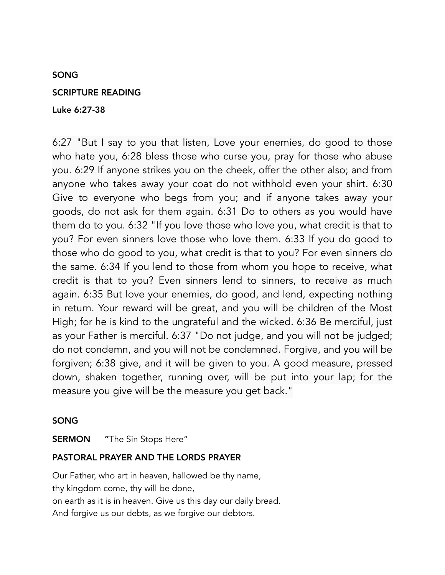#### SONG

#### SCRIPTURE READING

#### Luke 6:27-38

6:27 "But I say to you that listen, Love your enemies, do good to those who hate you, 6:28 bless those who curse you, pray for those who abuse you. 6:29 If anyone strikes you on the cheek, offer the other also; and from anyone who takes away your coat do not withhold even your shirt. 6:30 Give to everyone who begs from you; and if anyone takes away your goods, do not ask for them again. 6:31 Do to others as you would have them do to you. 6:32 "If you love those who love you, what credit is that to you? For even sinners love those who love them. 6:33 If you do good to those who do good to you, what credit is that to you? For even sinners do the same. 6:34 If you lend to those from whom you hope to receive, what credit is that to you? Even sinners lend to sinners, to receive as much again. 6:35 But love your enemies, do good, and lend, expecting nothing in return. Your reward will be great, and you will be children of the Most High; for he is kind to the ungrateful and the wicked. 6:36 Be merciful, just as your Father is merciful. 6:37 "Do not judge, and you will not be judged; do not condemn, and you will not be condemned. Forgive, and you will be forgiven; 6:38 give, and it will be given to you. A good measure, pressed down, shaken together, running over, will be put into your lap; for the measure you give will be the measure you get back."

#### SONG

**SERMON** "The Sin Stops Here"

#### PASTORAL PRAYER AND THE LORDS PRAYER

Our Father, who art in heaven, hallowed be thy name, thy kingdom come, thy will be done, on earth as it is in heaven. Give us this day our daily bread. And forgive us our debts, as we forgive our debtors.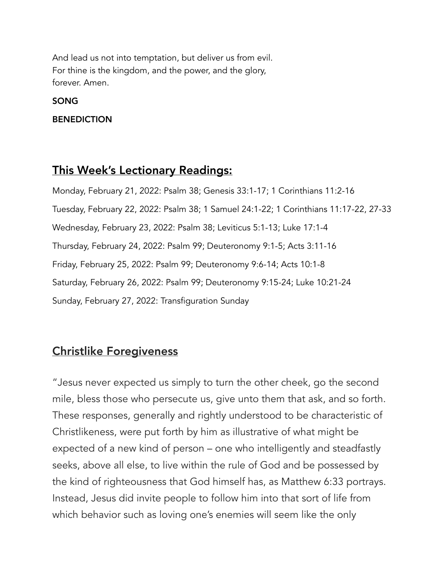And lead us not into temptation, but deliver us from evil. For thine is the kingdom, and the power, and the glory, forever. Amen.

SONG

BENEDICTION

## This Week's Lectionary Readings:

Monday, February 21, 2022: Psalm 38; Genesis 33:1-17; 1 Corinthians 11:2-16 Tuesday, February 22, 2022: Psalm 38; 1 Samuel 24:1-22; 1 Corinthians 11:17-22, 27-33 Wednesday, February 23, 2022: Psalm 38; Leviticus 5:1-13; Luke 17:1-4 Thursday, February 24, 2022: Psalm 99; Deuteronomy 9:1-5; Acts 3:11-16 Friday, February 25, 2022: Psalm 99; Deuteronomy 9:6-14; Acts 10:1-8 Saturday, February 26, 2022: Psalm 99; Deuteronomy 9:15-24; Luke 10:21-24 Sunday, February 27, 2022: Transfiguration Sunday

## Christlike Foregiveness

"Jesus never expected us simply to turn the other cheek, go the second mile, bless those who persecute us, give unto them that ask, and so forth. These responses, generally and rightly understood to be characteristic of Christlikeness, were put forth by him as illustrative of what might be expected of a new kind of person – one who intelligently and steadfastly seeks, above all else, to live within the rule of God and be possessed by the kind of righteousness that God himself has, as Matthew 6:33 portrays. Instead, Jesus did invite people to follow him into that sort of life from which behavior such as loving one's enemies will seem like the only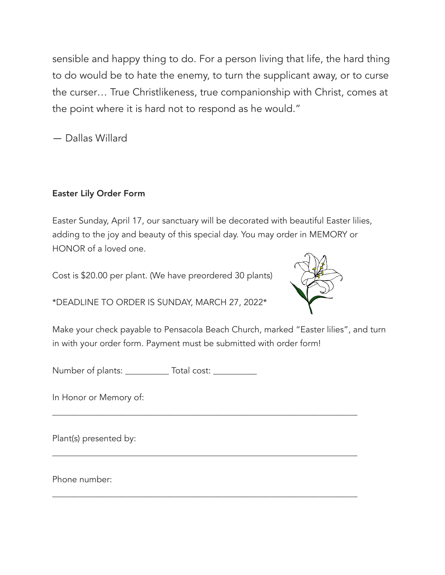sensible and happy thing to do. For a person living that life, the hard thing to do would be to hate the enemy, to turn the supplicant away, or to curse the curser… True Christlikeness, true companionship with Christ, comes at the point where it is hard not to respond as he would."

― Dallas Willard

### Easter Lily Order Form

Easter Sunday, April 17, our sanctuary will be decorated with beautiful Easter lilies, adding to the joy and beauty of this special day. You may order in MEMORY or HONOR of a loved one.

Cost is \$20.00 per plant. (We have preordered 30 plants)

\*DEADLINE TO ORDER IS SUNDAY, MARCH 27, 2022\*



Make your check payable to Pensacola Beach Church, marked "Easter lilies", and turn in with your order form. Payment must be submitted with order form!

\_\_\_\_\_\_\_\_\_\_\_\_\_\_\_\_\_\_\_\_\_\_\_\_\_\_\_\_\_\_\_\_\_\_\_\_\_\_\_\_\_\_\_\_\_\_\_\_\_\_\_\_\_\_\_\_\_\_\_\_\_\_\_\_\_\_\_\_\_\_

\_\_\_\_\_\_\_\_\_\_\_\_\_\_\_\_\_\_\_\_\_\_\_\_\_\_\_\_\_\_\_\_\_\_\_\_\_\_\_\_\_\_\_\_\_\_\_\_\_\_\_\_\_\_\_\_\_\_\_\_\_\_\_\_\_\_\_\_\_\_

\_\_\_\_\_\_\_\_\_\_\_\_\_\_\_\_\_\_\_\_\_\_\_\_\_\_\_\_\_\_\_\_\_\_\_\_\_\_\_\_\_\_\_\_\_\_\_\_\_\_\_\_\_\_\_\_\_\_\_\_\_\_\_\_\_\_\_\_\_\_

Number of plants: \_\_\_\_\_\_\_\_\_\_\_\_ Total cost: \_\_\_\_\_\_\_\_\_\_\_\_

In Honor or Memory of:

Plant(s) presented by:

Phone number: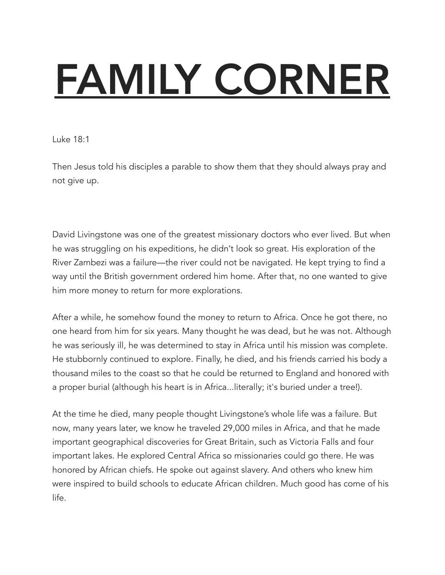# FAMILY CORNER

Luke 18:1

Then Jesus told his disciples a parable to show them that they should always pray and not give up.

David Livingstone was one of the greatest missionary doctors who ever lived. But when he was struggling on his expeditions, he didn't look so great. His exploration of the River Zambezi was a failure—the river could not be navigated. He kept trying to find a way until the British government ordered him home. After that, no one wanted to give him more money to return for more explorations.

After a while, he somehow found the money to return to Africa. Once he got there, no one heard from him for six years. Many thought he was dead, but he was not. Although he was seriously ill, he was determined to stay in Africa until his mission was complete. He stubbornly continued to explore. Finally, he died, and his friends carried his body a thousand miles to the coast so that he could be returned to England and honored with a proper burial (although his heart is in Africa...literally; it's buried under a tree!).

At the time he died, many people thought Livingstone's whole life was a failure. But now, many years later, we know he traveled 29,000 miles in Africa, and that he made important geographical discoveries for Great Britain, such as Victoria Falls and four important lakes. He explored Central Africa so missionaries could go there. He was honored by African chiefs. He spoke out against slavery. And others who knew him were inspired to build schools to educate African children. Much good has come of his life.